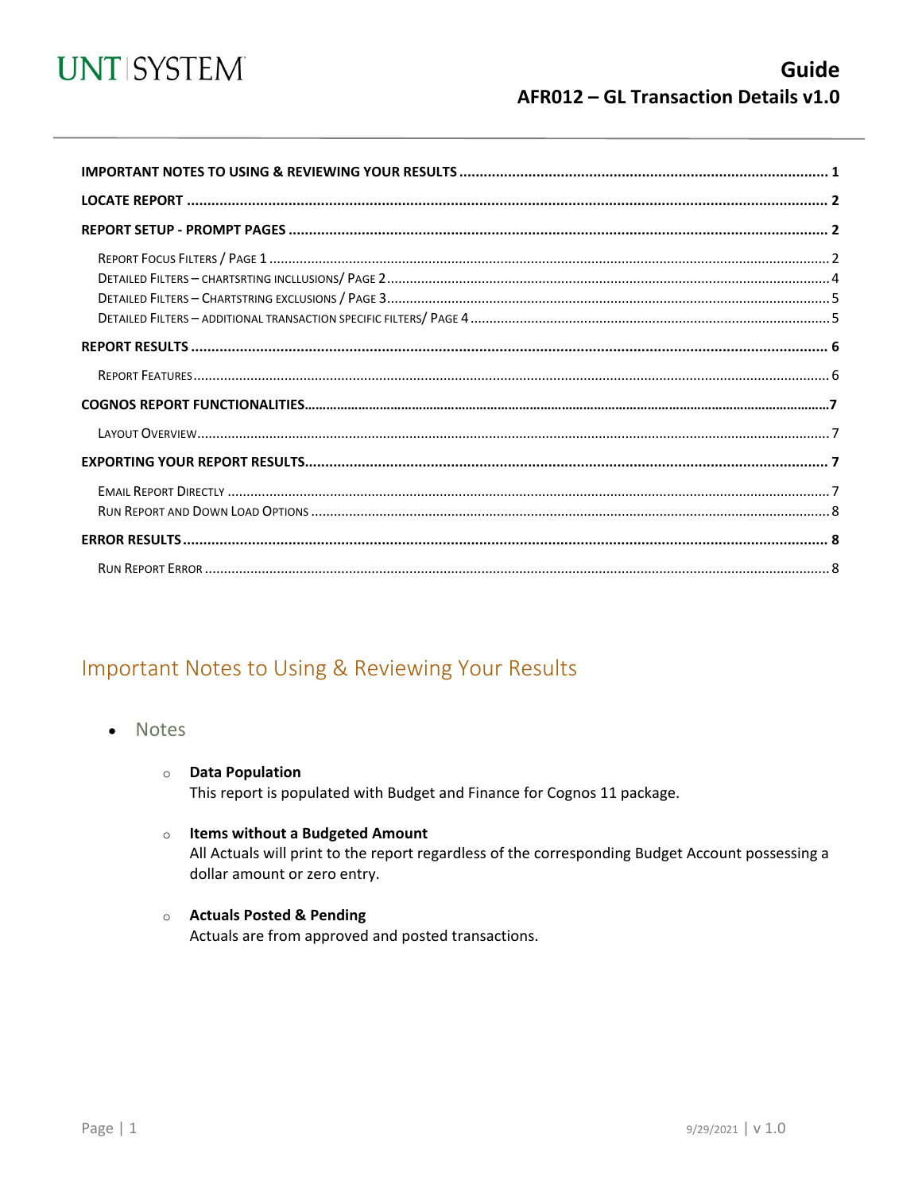

<span id="page-0-0"></span>

## Important Notes to Using & Reviewing Your Results

- Notes
	- **O** Data Population This report is populated with Budget and Finance for Cognos 11 package.
	- o Items without a Budgeted Amount

All Actuals will print to the report regardless of the corresponding Budget Account possessing a dollar amount or zero entry.

o Actuals Posted & Pending Actuals are from approved and posted transactions.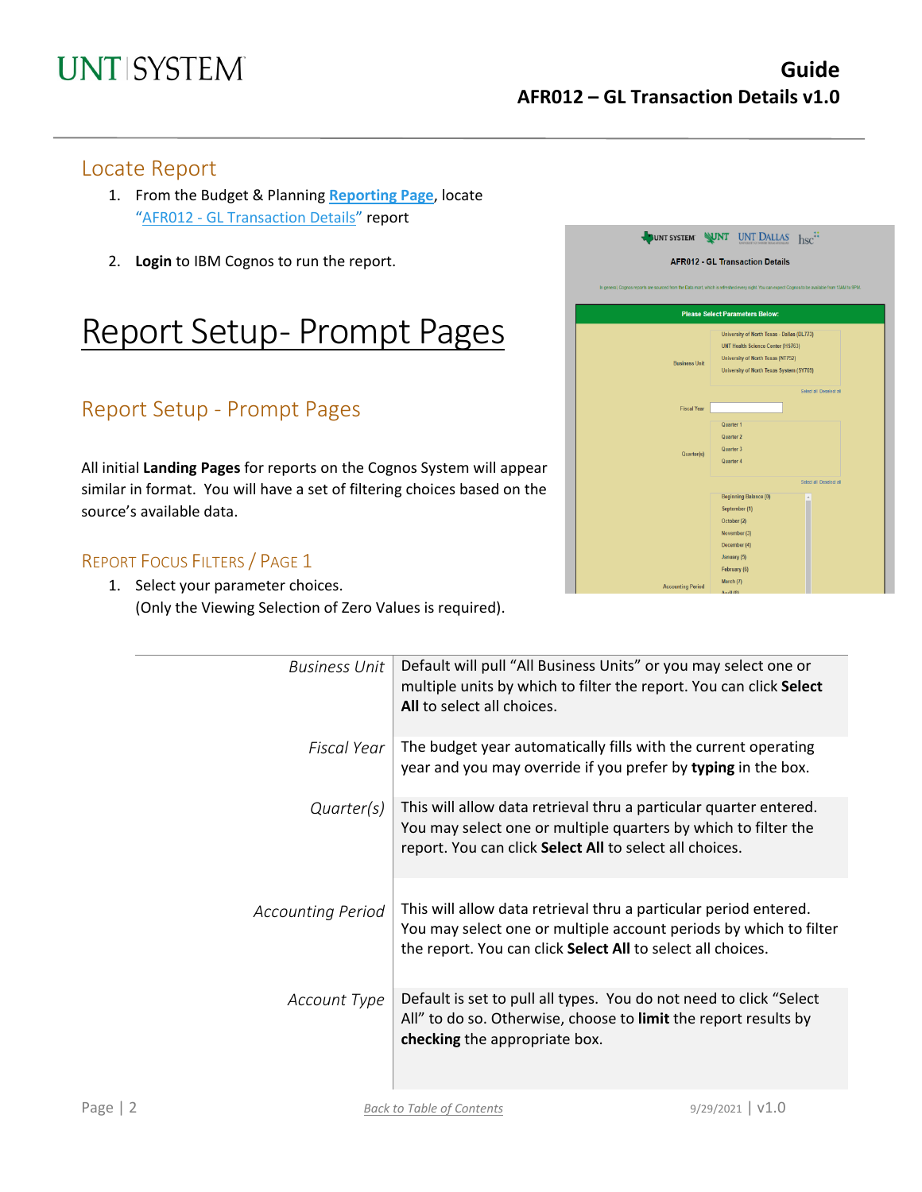### Locate Report

- 1. From the Budget & Planning **[Reporting Page](https://finance.untsystem.edu/reporting)**, locate "AFR012 - [GL Transaction Details"](https://cognospd.admin.unt.edu/bi/?pathRef=.public_folders%2FAFR%2BReports%2FAFR012%2B-%2BGL%2BTransaction%2BDetails) report
- 2. **Login** to IBM Cognos to run the report.

## Report Setup- Prompt Pages

## Report Setup - Prompt Pages

All initial **Landing Pages** for reports on the Cognos System will appear similar in format. You will have a set of filtering choices based on the source's available data.

### REPORT FOCUS FILTERS / PAGE 1

1. Select your parameter choices. (Only the Viewing Selection of Zero Values is required).

| <b>Business Unit</b>     | Default will pull "All Business Units" or you may select one or<br>multiple units by which to filter the report. You can click Select<br>All to select all choices.                                  |
|--------------------------|------------------------------------------------------------------------------------------------------------------------------------------------------------------------------------------------------|
| Fiscal Year              | The budget year automatically fills with the current operating<br>year and you may override if you prefer by typing in the box.                                                                      |
| Quarter(s)               | This will allow data retrieval thru a particular quarter entered.<br>You may select one or multiple quarters by which to filter the<br>report. You can click Select All to select all choices.       |
| <b>Accounting Period</b> | This will allow data retrieval thru a particular period entered.<br>You may select one or multiple account periods by which to filter<br>the report. You can click Select All to select all choices. |
| Account Type             | Default is set to pull all types. You do not need to click "Select"<br>All" to do so. Otherwise, choose to limit the report results by<br>checking the appropriate box.                              |

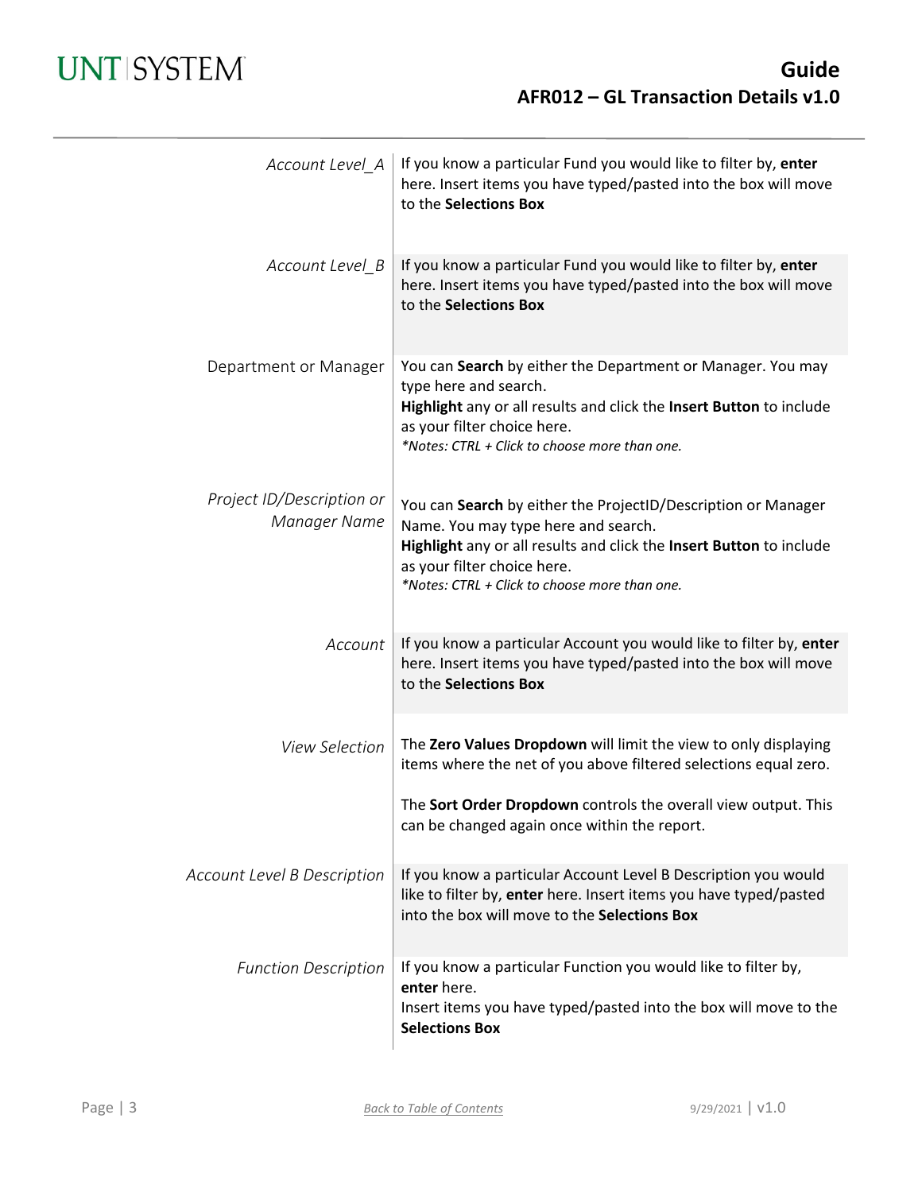## **UNT SYSTEM**

| Account Level_A                           | If you know a particular Fund you would like to filter by, enter<br>here. Insert items you have typed/pasted into the box will move<br>to the Selections Box                                                                                                |
|-------------------------------------------|-------------------------------------------------------------------------------------------------------------------------------------------------------------------------------------------------------------------------------------------------------------|
| Account Level_B                           | If you know a particular Fund you would like to filter by, enter<br>here. Insert items you have typed/pasted into the box will move<br>to the Selections Box                                                                                                |
| Department or Manager                     | You can Search by either the Department or Manager. You may<br>type here and search.<br>Highlight any or all results and click the Insert Button to include<br>as your filter choice here.<br>*Notes: CTRL + Click to choose more than one.                 |
| Project ID/Description or<br>Manager Name | You can Search by either the ProjectID/Description or Manager<br>Name. You may type here and search.<br>Highlight any or all results and click the Insert Button to include<br>as your filter choice here.<br>*Notes: CTRL + Click to choose more than one. |
| Account                                   | If you know a particular Account you would like to filter by, enter<br>here. Insert items you have typed/pasted into the box will move<br>to the Selections Box                                                                                             |
| <b>View Selection</b>                     | The Zero Values Dropdown will limit the view to only displaying<br>items where the net of you above filtered selections equal zero.                                                                                                                         |
|                                           | The Sort Order Dropdown controls the overall view output. This<br>can be changed again once within the report.                                                                                                                                              |
| Account Level B Description               | If you know a particular Account Level B Description you would<br>like to filter by, enter here. Insert items you have typed/pasted<br>into the box will move to the Selections Box                                                                         |
| <b>Function Description</b>               | If you know a particular Function you would like to filter by,<br>enter here.<br>Insert items you have typed/pasted into the box will move to the<br><b>Selections Box</b>                                                                                  |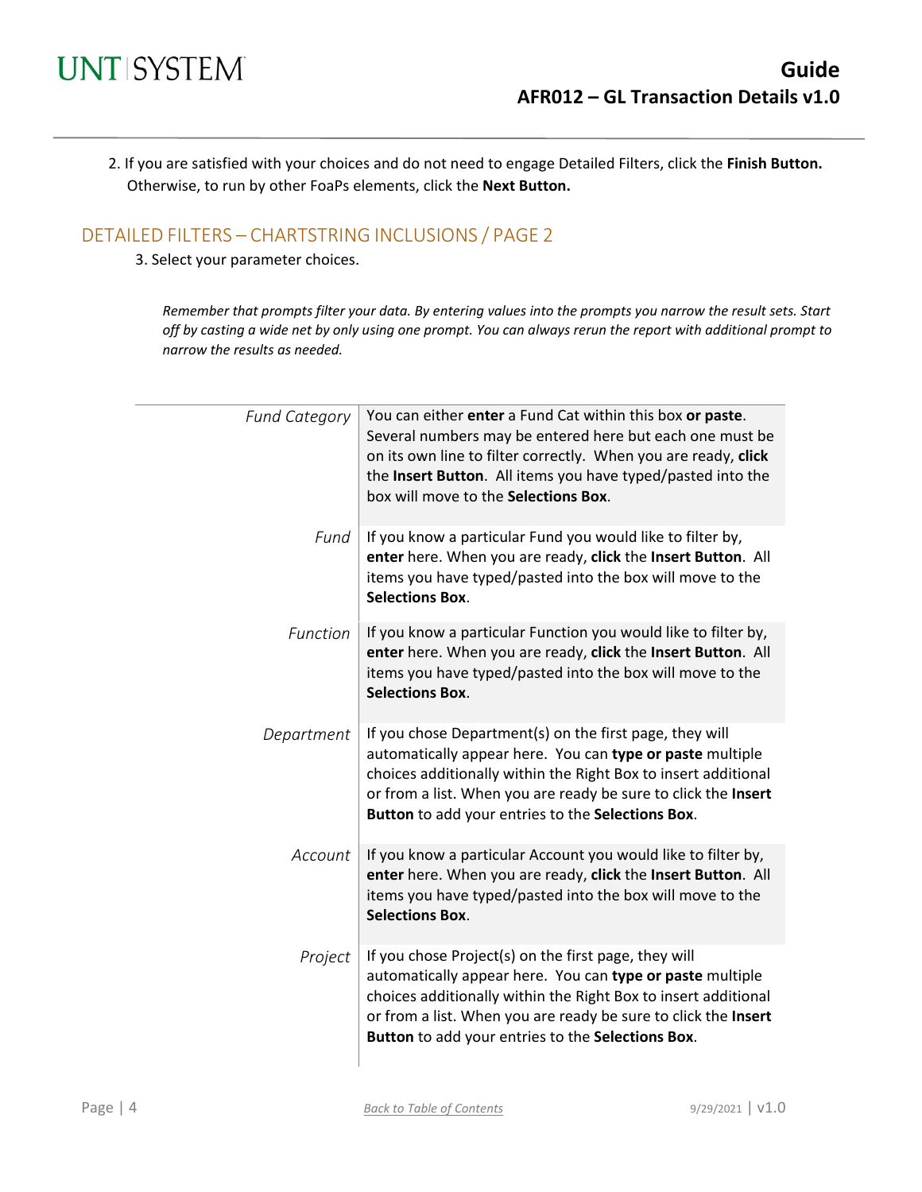2. If you are satisfied with your choices and do not need to engage Detailed Filters, click the **Finish Button.** Otherwise, to run by other FoaPs elements, click the **Next Button.**

### DETAILED FILTERS – CHARTSTRING INCLUSIONS / PAGE 2

3. Select your parameter choices.

*Remember that prompts filter your data. By entering values into the prompts you narrow the result sets. Start off by casting a wide net by only using one prompt. You can always rerun the report with additional prompt to narrow the results as needed.*

| <b>Fund Category</b> | You can either enter a Fund Cat within this box or paste.<br>Several numbers may be entered here but each one must be<br>on its own line to filter correctly. When you are ready, click<br>the Insert Button. All items you have typed/pasted into the<br>box will move to the Selections Box.                |
|----------------------|---------------------------------------------------------------------------------------------------------------------------------------------------------------------------------------------------------------------------------------------------------------------------------------------------------------|
| Fund                 | If you know a particular Fund you would like to filter by,<br>enter here. When you are ready, click the Insert Button. All<br>items you have typed/pasted into the box will move to the<br><b>Selections Box.</b>                                                                                             |
| Function             | If you know a particular Function you would like to filter by,<br>enter here. When you are ready, click the Insert Button. All<br>items you have typed/pasted into the box will move to the<br><b>Selections Box.</b>                                                                                         |
| Department           | If you chose Department(s) on the first page, they will<br>automatically appear here. You can type or paste multiple<br>choices additionally within the Right Box to insert additional<br>or from a list. When you are ready be sure to click the Insert<br>Button to add your entries to the Selections Box. |
| Account              | If you know a particular Account you would like to filter by,<br>enter here. When you are ready, click the Insert Button. All<br>items you have typed/pasted into the box will move to the<br><b>Selections Box.</b>                                                                                          |
| Project              | If you chose Project(s) on the first page, they will<br>automatically appear here. You can type or paste multiple<br>choices additionally within the Right Box to insert additional<br>or from a list. When you are ready be sure to click the Insert<br>Button to add your entries to the Selections Box.    |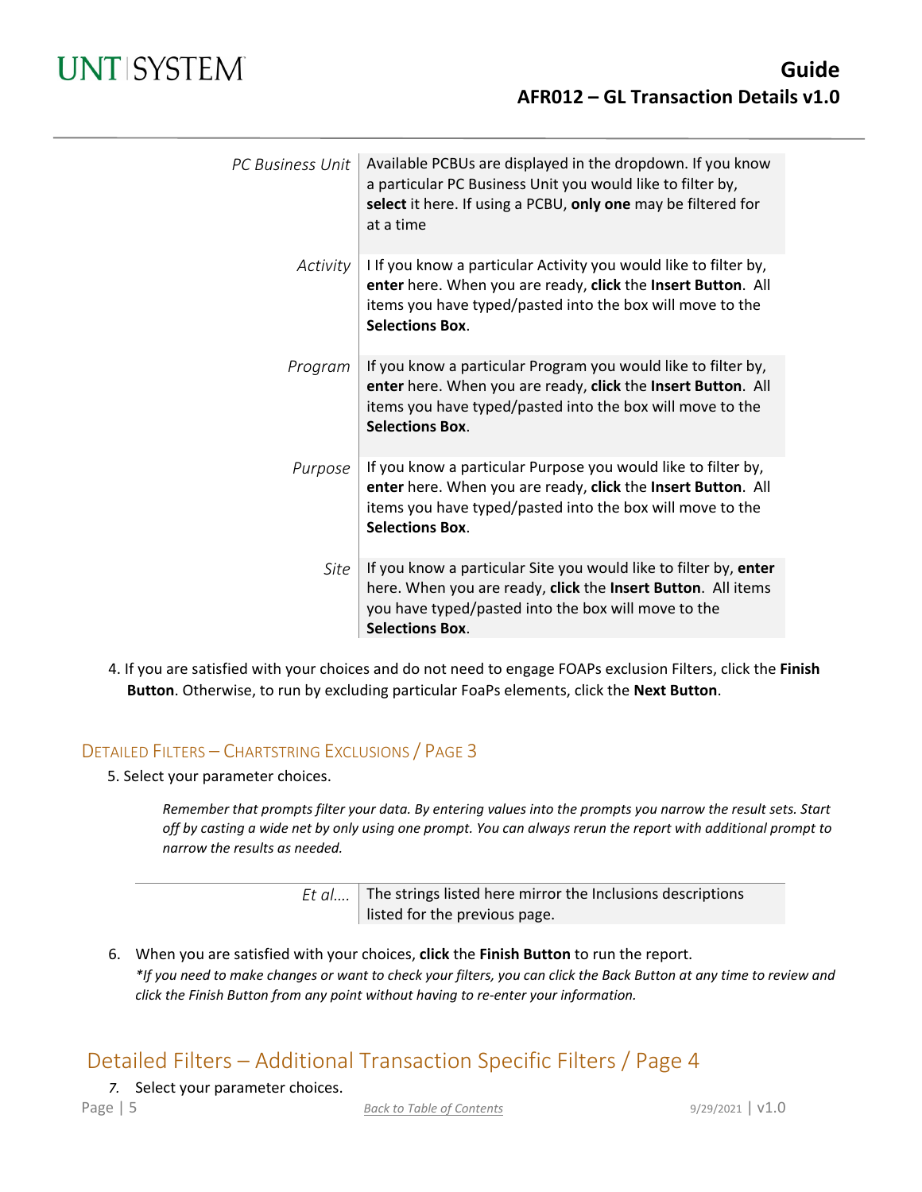| PC Business Unit | Available PCBUs are displayed in the dropdown. If you know<br>a particular PC Business Unit you would like to filter by,<br>select it here. If using a PCBU, only one may be filtered for<br>at a time                  |
|------------------|-------------------------------------------------------------------------------------------------------------------------------------------------------------------------------------------------------------------------|
| Activity         | I If you know a particular Activity you would like to filter by,<br>enter here. When you are ready, click the Insert Button. All<br>items you have typed/pasted into the box will move to the<br><b>Selections Box.</b> |
| Program          | If you know a particular Program you would like to filter by,<br>enter here. When you are ready, click the Insert Button. All<br>items you have typed/pasted into the box will move to the<br><b>Selections Box.</b>    |
| Purpose          | If you know a particular Purpose you would like to filter by,<br>enter here. When you are ready, click the Insert Button. All<br>items you have typed/pasted into the box will move to the<br><b>Selections Box.</b>    |
| Site             | If you know a particular Site you would like to filter by, enter<br>here. When you are ready, click the Insert Button. All items<br>you have typed/pasted into the box will move to the<br><b>Selections Box.</b>       |

4. If you are satisfied with your choices and do not need to engage FOAPs exclusion Filters, click the **Finish Button**. Otherwise, to run by excluding particular FoaPs elements, click the **Next Button**.

#### DETAILED FILTERS – CHARTSTRING EXCLUSIONS / PAGE 3

5. Select your parameter choices.

*Remember that prompts filter your data. By entering values into the prompts you narrow the result sets. Start off by casting a wide net by only using one prompt. You can always rerun the report with additional prompt to narrow the results as needed.*

| Et $al$ The strings listed here mirror the Inclusions descriptions |
|--------------------------------------------------------------------|
| listed for the previous page.                                      |

6. When you are satisfied with your choices, **click** the **Finish Button** to run the report. *\*If you need to make changes or want to check your filters, you can click the Back Button at any time to review and click the Finish Button from any point without having to re-enter your information.*

## Detailed Filters – Additional Transaction Specific Filters / Page 4

*7.* Select your parameter choices.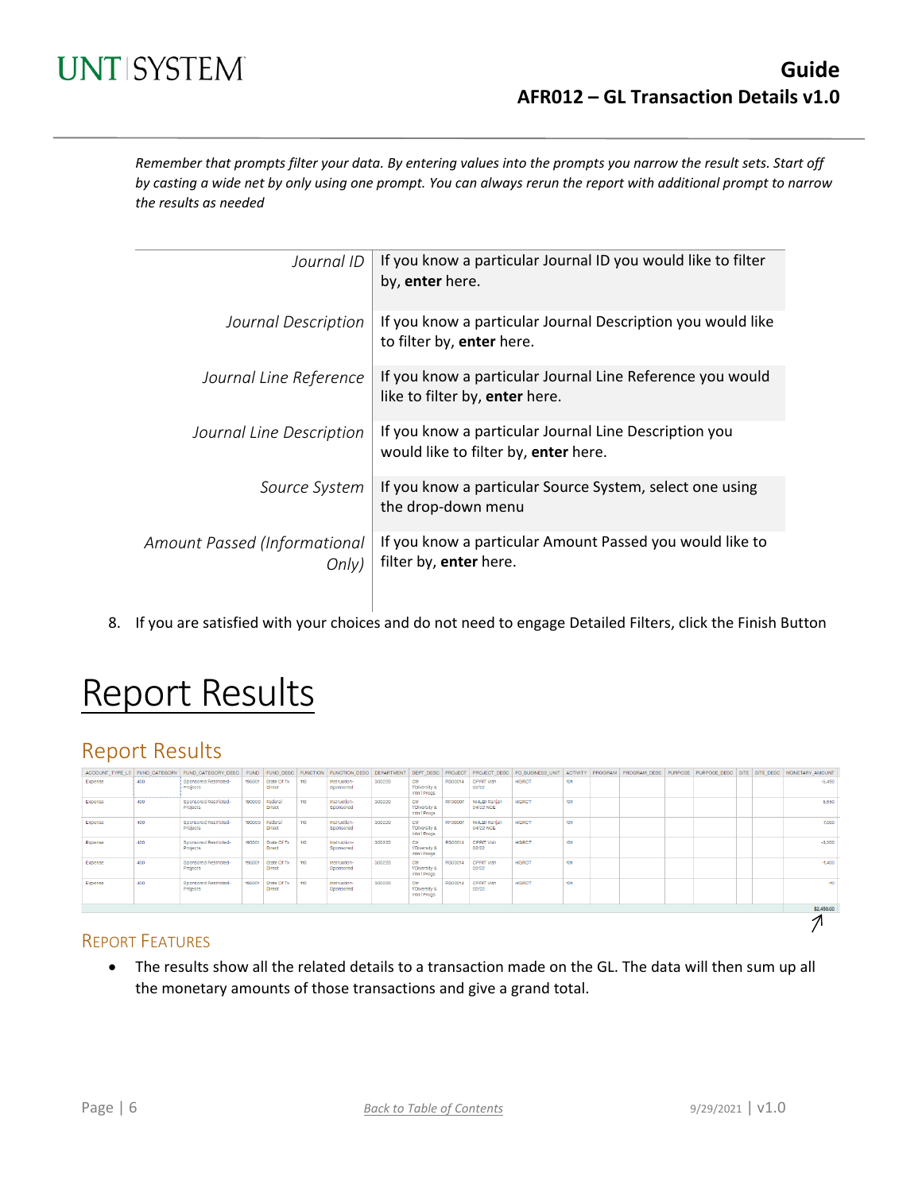## **UNT SYSTEM**

*Remember that prompts filter your data. By entering values into the prompts you narrow the result sets. Start off by casting a wide net by only using one prompt. You can always rerun the report with additional prompt to narrow the results as needed*

| Journal ID                            | If you know a particular Journal ID you would like to filter<br>by, enter here.               |
|---------------------------------------|-----------------------------------------------------------------------------------------------|
| Journal Description                   | If you know a particular Journal Description you would like<br>to filter by, enter here.      |
| Journal Line Reference                | If you know a particular Journal Line Reference you would<br>like to filter by, enter here.   |
| Journal Line Description              | If you know a particular Journal Line Description you<br>would like to filter by, enter here. |
| Source System                         | If you know a particular Source System, select one using<br>the drop-down menu                |
| Amount Passed (Informational<br>Onlv) | If you know a particular Amount Passed you would like to<br>filter by, enter here.            |

8. If you are satisfied with your choices and do not need to engage Detailed Filters, click the Finish Button

# Report Results

## Report Results

|         |     | ACCOUNT TYPE L2 FUND CATEGORY FUND CATEGORY DESC FUND FUND DESC FUNCTION |        |                                 |     | FUNCTION DESC DEPARTMENT DEPT DESC PROJECT |        |                                      |                |                                  |              |     |  |  |  | PROJECT DESC PC BUSINESS UNIT ACTIVITY PROGRAM PROGRAM DESC PURPOSE PURPOSE DESC SITE SITE DESC MONETARY AMOUNT |
|---------|-----|--------------------------------------------------------------------------|--------|---------------------------------|-----|--------------------------------------------|--------|--------------------------------------|----------------|----------------------------------|--------------|-----|--|--|--|-----------------------------------------------------------------------------------------------------------------|
| Expense | 400 | Sponsored Restricted-<br>Projects                                        | 195001 | State Of Tx<br><b>Direct</b>    | 110 | Instruction-<br>Sponsored                  | 300220 | Ctr<br>f/Diversity &<br>Intn'l Progs | RS00014        | CPRIT Vish<br>02/22              | HGRCT        | 101 |  |  |  | $-5.490$                                                                                                        |
| Expense | 400 | Sponsored Restricted-<br>Projects                                        | 190000 | Federal<br><b>Direct</b>        | 110 | Instruction-<br>Sponsored                  | 300220 | Ctr<br>f/Diversity &<br>Intn'l Progs | <b>RF00007</b> | NHLBI Ranjan<br>04/22 NCE        | <b>HGRCT</b> | 101 |  |  |  | 5,850                                                                                                           |
| Expense | 400 | Sponsored Restricted-<br>Projects                                        |        | 190000 Federal<br><b>Direct</b> | 110 | Instruction-<br>Sponsored                  | 300220 | Ctr<br>f/Diversity &<br>Intn'l Progs | <b>RF00007</b> | <b>NHLBI Ranjan</b><br>04/22 NCE | <b>HGRCT</b> | 101 |  |  |  | 7,000                                                                                                           |
| Expense | 400 | Sponsored Restricted-<br>Projects                                        | 195001 | State Of Tx<br><b>Direct</b>    | 110 | Instruction-<br>Sponsored                  | 300220 | Ctr<br>f/Diversity &<br>Intn'l Progs | RS00014        | CPRIT Vish<br>02/22              | HGRCT        | 101 |  |  |  | $-3.500$                                                                                                        |
| Expense | 400 | Sponsored Restricted-<br>Projects                                        | 195001 | State Of Tx<br><b>Direct</b>    | 110 | Instruction-<br>Sponsored                  | 300220 | Ctr<br>f/Diversity &<br>Intn'l Progs | <b>RS00014</b> | CPRIT Vish<br>02/22              | <b>HGRCT</b> | 101 |  |  |  | $-1,400$                                                                                                        |
| Expense | 400 | Sponsored Restricted-<br>Projects                                        | 195001 | State Of Tx<br><b>Direct</b>    | 110 | Instruction-<br>Sponsored                  | 300220 | Ctr<br>f/Diversity &<br>Intn'l Progs | RS00014        | <b>CPRIT Vish</b><br>02/22       | <b>HGRCT</b> | 101 |  |  |  | $-10$                                                                                                           |
|         |     |                                                                          |        |                                 |     |                                            |        |                                      |                |                                  |              |     |  |  |  | \$2,450.00                                                                                                      |
|         |     |                                                                          |        |                                 |     |                                            |        |                                      |                |                                  |              |     |  |  |  |                                                                                                                 |

#### REPORT FEATURES

• The results show all the related details to a transaction made on the GL. The data will then sum up all the monetary amounts of those transactions and give a grand total.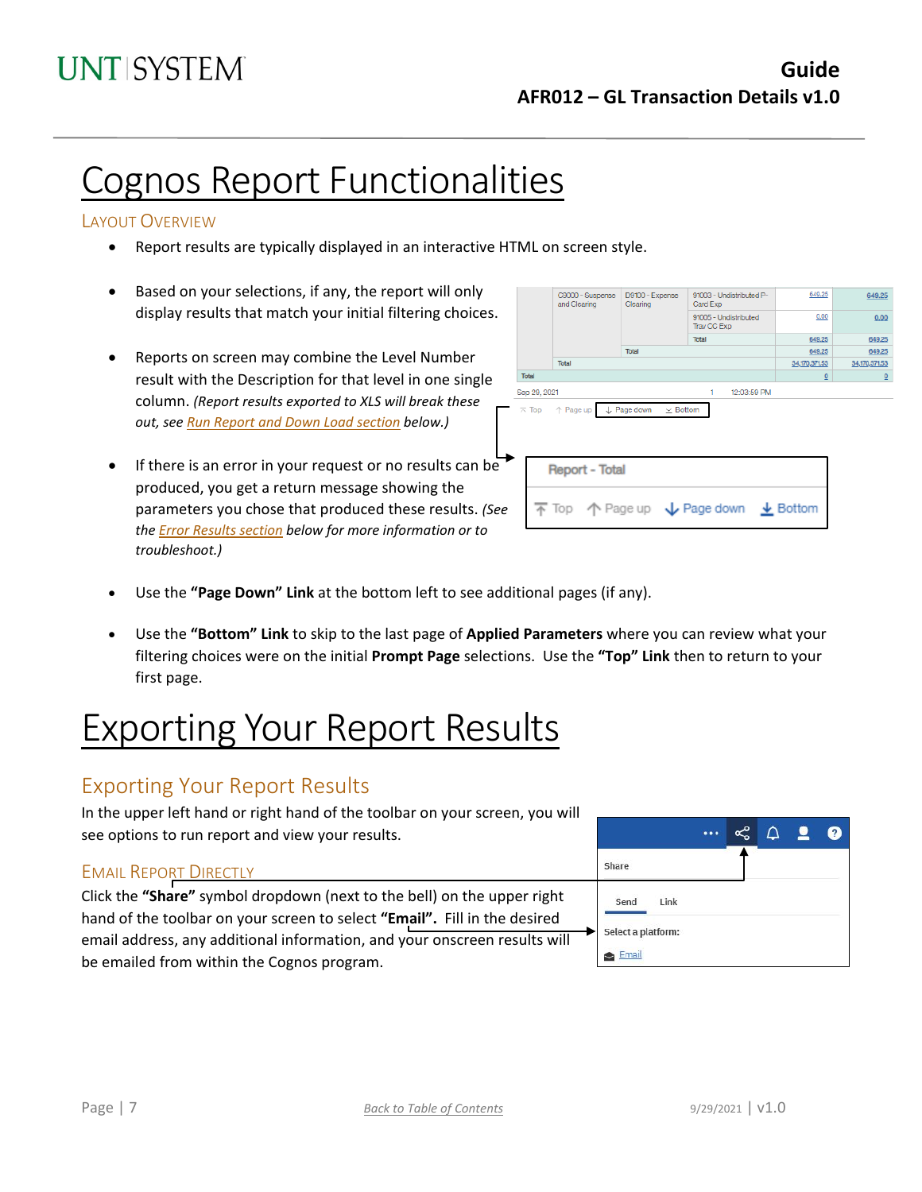# Cognos Report Functionalities

#### LAYOUT OVERVIEW

- Report results are typically displayed in an interactive HTML on screen style.
- Based on your selections, if any, the report will only display results that match your initial filtering choices.
- Reports on screen may combine the Level Number result with the Description for that level in one single column. *(Report results exported to XLS will break these out, see Run Report and Down Load section below.)*
- If there is an error in your request or no results can be produced, you get a return message showing the parameters you chose that produced these results. *(See th[e Error Results section](#page-7-0) below for more information or to troubleshoot.)*

|              | C9000 - Suspense<br>and Clearing | D9100 - Expense<br>Clearing | 91003 - Undistributed P-<br>Card Exp                                                    |               | 649.25<br>649.25            |
|--------------|----------------------------------|-----------------------------|-----------------------------------------------------------------------------------------|---------------|-----------------------------|
|              |                                  |                             | 91005 - Undistributed<br>Trav CC Exp                                                    |               | 0.00<br>0.00                |
|              |                                  |                             | Total                                                                                   |               | 649.25<br>649.25            |
|              |                                  | Total                       |                                                                                         |               | 649.25<br>649.25            |
|              | Total                            |                             |                                                                                         | 34,170,371.53 | 34,170,371.53               |
| Total        |                                  |                             |                                                                                         |               | $\Omega$<br>$\underline{0}$ |
| Sep 29, 2021 |                                  |                             | 12:03:59 PM<br>1                                                                        |               |                             |
|              |                                  |                             |                                                                                         |               |                             |
|              | <b>Report - Total</b>            |                             |                                                                                         |               |                             |
|              |                                  |                             | $\overline{\uparrow}$ Top $\uparrow$ Page up $\downarrow$ Page down $\downarrow$ Bottom |               |                             |
|              |                                  |                             |                                                                                         |               |                             |

- Use the **"Page Down" Link** at the bottom left to see additional pages (if any).
- Use the **"Bottom" Link** to skip to the last page of **Applied Parameters** where you can review what your filtering choices were on the initial **Prompt Page** selections. Use the **"Top" Link** then to return to your first page.

# Exporting Your Report Results

## Exporting Your Report Results

In the upper left hand or right hand of the toolbar on your screen, you will see options to run report and view your results.

#### EMAIL REPORT DIRECTLY

Click the **"Share"** symbol dropdown (next to the bell) on the upper right hand of the toolbar on your screen to select **"Email".** Fill in the desired email address, any additional information, and your onscreen results will be emailed from within the Cognos program.

|                    |  | 9 | $\left  \mathbf{?} \right $ |
|--------------------|--|---|-----------------------------|
| Share              |  |   |                             |
| Send<br>Link       |  |   |                             |
| Select a platform: |  |   |                             |
| Email              |  |   |                             |